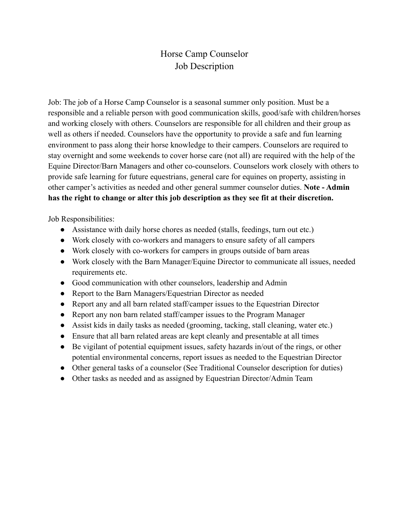## Horse Camp Counselor Job Description

Job: The job of a Horse Camp Counselor is a seasonal summer only position. Must be a responsible and a reliable person with good communication skills, good/safe with children/horses and working closely with others. Counselors are responsible for all children and their group as well as others if needed. Counselors have the opportunity to provide a safe and fun learning environment to pass along their horse knowledge to their campers. Counselors are required to stay overnight and some weekends to cover horse care (not all) are required with the help of the Equine Director/Barn Managers and other co-counselors. Counselors work closely with others to provide safe learning for future equestrians, general care for equines on property, assisting in other camper's activities as needed and other general summer counselor duties. **Note - Admin has the right to change or alter this job description as they see fit at their discretion.**

Job Responsibilities:

- Assistance with daily horse chores as needed (stalls, feedings, turn out etc.)
- Work closely with co-workers and managers to ensure safety of all campers
- Work closely with co-workers for campers in groups outside of barn areas
- Work closely with the Barn Manager/Equine Director to communicate all issues, needed requirements etc.
- Good communication with other counselors, leadership and Admin
- Report to the Barn Managers/Equestrian Director as needed
- Report any and all barn related staff/camper issues to the Equestrian Director
- Report any non barn related staff/camper issues to the Program Manager
- Assist kids in daily tasks as needed (grooming, tacking, stall cleaning, water etc.)
- Ensure that all barn related areas are kept cleanly and presentable at all times
- Be vigilant of potential equipment issues, safety hazards in/out of the rings, or other potential environmental concerns, report issues as needed to the Equestrian Director
- Other general tasks of a counselor (See Traditional Counselor description for duties)
- Other tasks as needed and as assigned by Equestrian Director/Admin Team